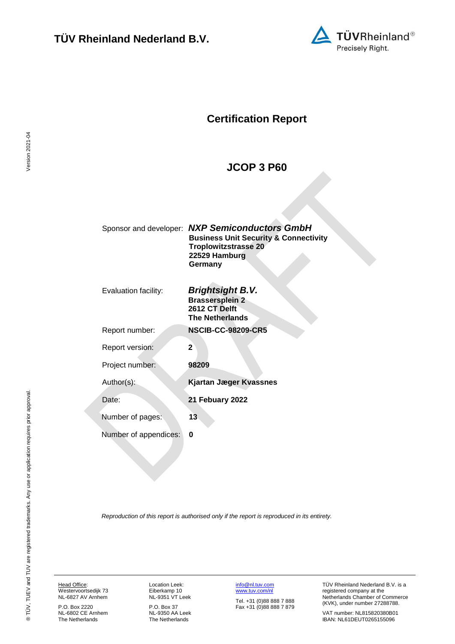

# **Certification Report**

## <span id="page-0-4"></span><span id="page-0-3"></span><span id="page-0-1"></span>**JCOP 3 P60**

<span id="page-0-0"></span>

| Sponsor and developer: | <b>NXP Semiconductors GmbH</b><br><b>Business Unit Security &amp; Connectivity</b><br><b>Troplowitzstrasse 20</b><br>22529 Hamburg<br>Germany |
|------------------------|-----------------------------------------------------------------------------------------------------------------------------------------------|
| Evaluation facility:   | <b>Brightsight B.V.</b><br><b>Brassersplein 2</b><br>2612 CT Delft<br><b>The Netherlands</b>                                                  |
| Report number:         | <b>NSCIB-CC-98209-CR5</b>                                                                                                                     |
| Report version:        | $\mathbf 2$                                                                                                                                   |
| Project number:        | 98209                                                                                                                                         |
| Author(s):             | <b>Kjartan Jæger Kvassnes</b>                                                                                                                 |
| Date:                  | <b>21 Febuary 2022</b>                                                                                                                        |
| Number of pages:       | 13                                                                                                                                            |
| Number of appendices:  | 0                                                                                                                                             |
|                        |                                                                                                                                               |

<span id="page-0-2"></span>*Reproduction of this report is authorised only if the report is reproduced in its entirety.*

Head Office: Westervoortsedijk 73 NL-6827 AV Arnhem

P.O. Box 2220 NL-6802 CE Arnhem The Netherlands

Location Leek: Eiberkamp 10 NL-9351 VT Leek

P.O. Box 37 NL-9350 AA Leek The Netherlands

[info@nl.tuv.com](mailto:info@nl.tuv.com) [www.tuv.com/nl](http://www.tuv.com/nl) Tel. +31 (0)88 888 7 888 Fax +31 (0)88 888 7 879 TÜV Rheinland Nederland B.V. is a registered company at the Netherlands Chamber of Commerce (KVK), under number 27288788.

VAT number: NL815820380B01 IBAN: NL61DEUT0265155096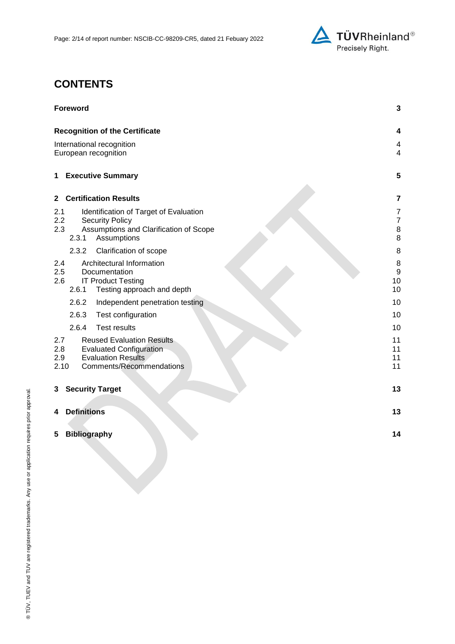

# **CONTENTS**

| <b>Foreword</b>                                                                                                                                                      | 3                                                  |
|----------------------------------------------------------------------------------------------------------------------------------------------------------------------|----------------------------------------------------|
| <b>Recognition of the Certificate</b>                                                                                                                                | 4                                                  |
| International recognition<br>European recognition                                                                                                                    | 4<br>$\overline{4}$                                |
| <b>Executive Summary</b><br>1                                                                                                                                        | 5                                                  |
| <b>Certification Results</b><br>$\mathbf{2}$                                                                                                                         | 7                                                  |
| 2.1<br>Identification of Target of Evaluation<br>2.2<br><b>Security Policy</b><br>$2.3\phantom{0}$<br>Assumptions and Clarification of Scope<br>2.3.1<br>Assumptions | $\overline{7}$<br>$\boldsymbol{7}$<br>$\bf 8$<br>8 |
| 2.3.2<br>Clarification of scope                                                                                                                                      | 8                                                  |
| Architectural Information<br>2.4<br>2.5<br>Documentation<br>2.6<br><b>IT Product Testing</b><br>2.6.1<br>Testing approach and depth                                  | 8<br>$\boldsymbol{9}$<br>10<br>10                  |
| 2.6.2<br>Independent penetration testing                                                                                                                             | 10                                                 |
| 2.6.3<br>Test configuration                                                                                                                                          | 10                                                 |
| 2.6.4<br><b>Test results</b>                                                                                                                                         | 10                                                 |
| 2.7<br><b>Reused Evaluation Results</b><br>2.8<br><b>Evaluated Configuration</b><br><b>Evaluation Results</b><br>2.9<br>2.10<br><b>Comments/Recommendations</b>      | 11<br>11<br>11<br>11                               |
| <b>Security Target</b><br>3                                                                                                                                          | 13                                                 |
| <b>Definitions</b><br>4                                                                                                                                              | 13                                                 |
| <b>Bibliography</b><br>5                                                                                                                                             | 14                                                 |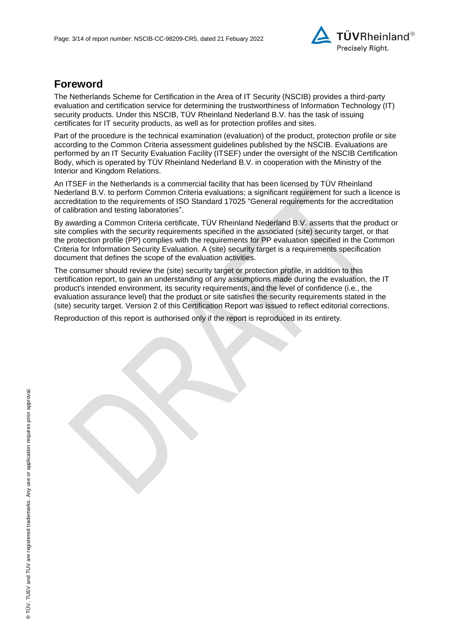

## **Foreword**

The Netherlands Scheme for Certification in the Area of IT Security (NSCIB) provides a third-party evaluation and certification service for determining the trustworthiness of Information Technology (IT) security products. Under this NSCIB, TÜV Rheinland Nederland B.V. has the task of issuing certificates for IT security products, as well as for protection profiles and sites.

Part of the procedure is the technical examination (evaluation) of the product, protection profile or site according to the Common Criteria assessment guidelines published by the NSCIB. Evaluations are performed by an IT Security Evaluation Facility (ITSEF) under the oversight of the NSCIB Certification Body, which is operated by TÜV Rheinland Nederland B.V. in cooperation with the Ministry of the Interior and Kingdom Relations.

An ITSEF in the Netherlands is a commercial facility that has been licensed by TÜV Rheinland Nederland B.V. to perform Common Criteria evaluations; a significant requirement for such a licence is accreditation to the requirements of ISO Standard 17025 "General requirements for the accreditation of calibration and testing laboratories".

By awarding a Common Criteria certificate, TÜV Rheinland Nederland B.V. asserts that the product or site complies with the security requirements specified in the associated (site) security target, or that the protection profile (PP) complies with the requirements for PP evaluation specified in the Common Criteria for Information Security Evaluation. A (site) security target is a requirements specification document that defines the scope of the evaluation activities.

The consumer should review the (site) security target or protection profile, in addition to this certification report, to gain an understanding of any assumptions made during the evaluation, the IT product's intended environment, its security requirements, and the level of confidence (i.e., the evaluation assurance level) that the product or site satisfies the security requirements stated in the (site) security target. Version 2 of this Certification Report was issued to reflect editorial corrections.

Reproduction of this report is authorised only if the report is reproduced in its entirety.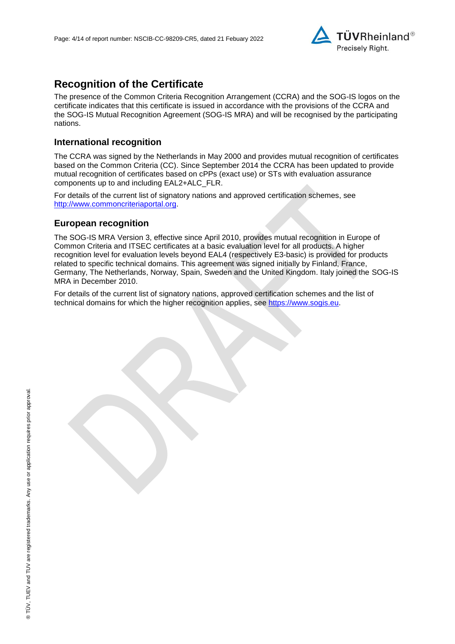

# **Recognition of the Certificate**

The presence of the Common Criteria Recognition Arrangement (CCRA) and the SOG-IS logos on the certificate indicates that this certificate is issued in accordance with the provisions of the CCRA and the SOG-IS Mutual Recognition Agreement (SOG-IS MRA) and will be recognised by the participating nations.

### **International recognition**

The CCRA was signed by the Netherlands in May 2000 and provides mutual recognition of certificates based on the Common Criteria (CC). Since September 2014 the CCRA has been updated to provide mutual recognition of certificates based on cPPs (exact use) or STs with evaluation assurance components up to and including EAL2+ALC\_FLR.

For details of the current list of signatory nations and approved certification schemes, see [http://www.commoncriteriaportal.org.](http://www.commoncriteriaportal.org/)

#### **European recognition**

The SOG-IS MRA Version 3, effective since April 2010, provides mutual recognition in Europe of Common Criteria and ITSEC certificates at a basic evaluation level for all products. A higher recognition level for evaluation levels beyond EAL4 (respectively E3-basic) is provided for products related to specific technical domains. This agreement was signed initially by Finland, France, Germany, The Netherlands, Norway, Spain, Sweden and the United Kingdom. Italy joined the SOG-IS MRA in December 2010.

For details of the current list of signatory nations, approved certification schemes and the list of technical domains for which the higher recognition applies, see [https://www.sogis.eu.](https://www.sogis.eu/)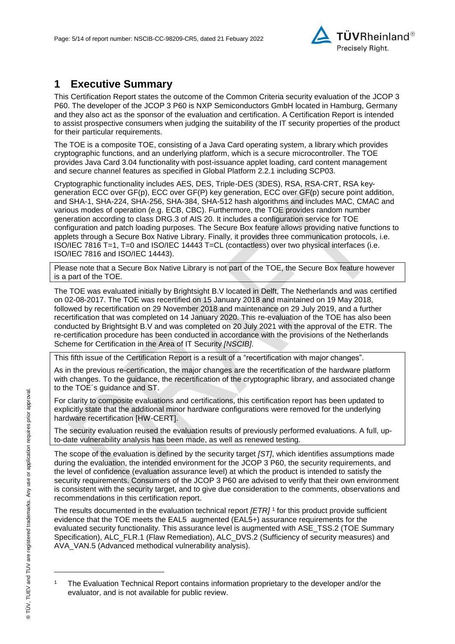<span id="page-4-1"></span>

# **1 Executive Summary**

This Certification Report states the outcome of the Common Criteria security evaluation of the [JCOP 3](#page-0-3)  [P60.](#page-0-3) The developer of the [JCOP 3 P60](#page-0-3) is [NXP Semiconductors GmbH](#page-0-4) located in Hamburg, Germany and they also act as the sponsor of the evaluation and certification. A Certification Report is intended to assist prospective consumers when judging the suitability of the IT security properties of the product for their particular requirements.

The TOE is a composite TOE, consisting of a Java Card operating system, a library which provides cryptographic functions, and an underlying platform, which is a secure microcontroller. The TOE provides Java Card 3.04 functionality with post-issuance applet loading, card content management and secure channel features as specified in Global Platform 2.2.1 including SCP03.

Cryptographic functionality includes AES, DES, Triple-DES (3DES), RSA, RSA-CRT, RSA keygeneration ECC over GF(p), ECC over GF(P) key generation, ECC over GF(p) secure point addition, and SHA-1, SHA-224, SHA-256, SHA-384, SHA-512 hash algorithms and includes MAC, CMAC and various modes of operation (e.g. ECB, CBC). Furthermore, the TOE provides random number generation according to class DRG.3 of AIS 20. It includes a configuration service for TOE configuration and patch loading purposes. The Secure Box feature allows providing native functions to applets through a Secure Box Native Library. Finally, it provides three communication protocols, i.e. ISO/IEC 7816 T=1, T=0 and ISO/IEC 14443 T=CL (contactless) over two physical interfaces (i.e. ISO/IEC 7816 and ISO/IEC 14443).

Please note that a Secure Box Native Library is not part of the TOE, the Secure Box feature however is a part of the TOE.

The TOE was evaluated initially by Brightsight B.V located in Delft, The Netherlands and was certified on 02-08-2017. The TOE was recertified on 15 January 2018 and maintained on 19 May 2018, followed by recertification on 29 November 2018 and maintenance on 29 July 2019, and a further recertification that was completed on 14 January 2020. This re-evaluation of the TOE has also been conducted by Brightsight B.V and was completed on 20 July 2021 with the approval of the ETR. The re-certification procedure has been conducted in accordance with the provisions of the Netherlands Scheme for Certification in the Area of IT Security *[NSCIB]*.

This fifth issue of the Certification Report is a result of a "recertification with major changes".

As in the previous re-certification, the major changes are the recertification of the hardware platform with changes. To the guidance, the recertification of the cryptographic library, and associated change to the TOE´s guidance and ST.

For clarity to composite evaluations and certifications, this certification report has been updated to explicitly state that the additional minor hardware configurations were removed for the underlying hardware recertification [HW-CERT].

The security evaluation reused the evaluation results of previously performed evaluations. A full, upto-date vulnerability analysis has been made, as well as renewed testing.

The scope of the evaluation is defined by the security target *[ST]*, which identifies assumptions made during the evaluation, the intended environment for the [JCOP 3 P60,](#page-0-3) the security requirements, and the level of confidence (evaluation assurance level) at which the product is intended to satisfy the security requirements. Consumers of the [JCOP 3 P60](#page-0-3) are advised to verify that their own environment is consistent with the security target, and to give due consideration to the comments, observations and recommendations in this certification report.

<span id="page-4-0"></span>The results documented in the evaluation technical report *[ETR]* <sup>1</sup> for this product provide sufficient evidence that the TOE meets the EAL5 augmented (EA[L5+](#page-4-0)) assurance requirements for the evaluated security functionality. This assurance level is augmented with ASE\_TSS.2 (TOE Summary Specification), ALC\_FLR.1 (Flaw Remediation), ALC\_DVS.2 (Sufficiency of security measures) and AVA\_VAN.5 (Advanced methodical vulnerability analysis).

l

<sup>1</sup> The Evaluation Technical Report contains information proprietary to the developer and/or the evaluator, and is not available for public review.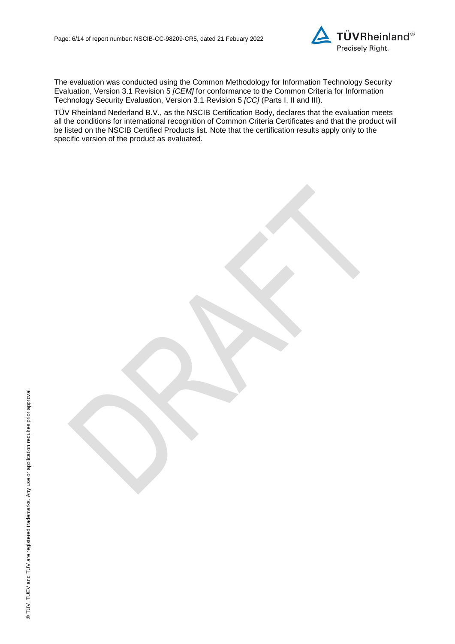

<span id="page-5-0"></span>The evaluation was conducted using the Common Methodology for Information Technology Security Evaluation, Version 3.1 Revision 5 *[CEM]* for conformance to the Common Criteria for Information Technology Security Evaluation, Version 3.1 Revision [5](#page-5-0) *[CC]* (Parts I, II and III).

TÜV Rheinland Nederland B.V., as the NSCIB Certification Body, declares that the evaluation meets all the conditions for international recognition of Common Criteria Certificates and that the product will be listed on the NSCIB Certified Products list. Note that the certification results apply only to the specific version of the product as evaluated.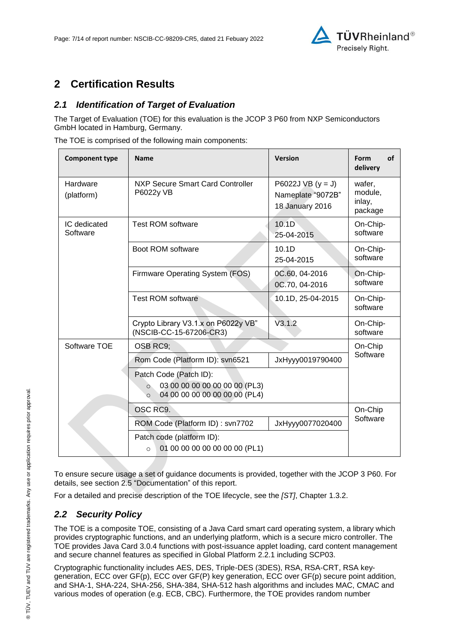

# **2 Certification Results**

## *2.1 Identification of Target of Evaluation*

The Target of Evaluation (TOE) for this evaluation is the [JCOP 3 P60](#page-0-3) from [NXP Semiconductors](#page-0-4)  [GmbH](#page-0-4) located in [Hamburg, Germany.](#page-4-1)

The TOE is comprised of the following main components:

| <b>Component type</b>    | <b>Name</b>                                                                                                    | <b>Version</b>                                              | Form<br>οf<br>delivery                 |
|--------------------------|----------------------------------------------------------------------------------------------------------------|-------------------------------------------------------------|----------------------------------------|
| Hardware<br>(platform)   | NXP Secure Smart Card Controller<br>P6022y VB                                                                  | P6022J VB $(y = J)$<br>Nameplate "9072B"<br>18 January 2016 | wafer,<br>module,<br>inlay,<br>package |
| IC dedicated<br>Software | <b>Test ROM software</b>                                                                                       | 10.1 <sub>D</sub><br>25-04-2015                             | On-Chip-<br>software                   |
|                          | Boot ROM software                                                                                              | 10.1D<br>25-04-2015                                         | On-Chip-<br>software                   |
|                          | Firmware Operating System (FOS)                                                                                | 0C.60, 04-2016<br>0C.70, 04-2016                            | On-Chip-<br>software                   |
|                          | <b>Test ROM software</b>                                                                                       | 10.1D, 25-04-2015                                           | On-Chip-<br>software                   |
|                          | Crypto Library V3.1.x on P6022y VB"<br>(NSCIB-CC-15-67206-CR3)                                                 | V3.1.2                                                      | On-Chip-<br>software                   |
| Software TOE             | OSB RC9;                                                                                                       |                                                             | On-Chip                                |
|                          | Rom Code (Platform ID): svn6521                                                                                | JxHyyy0019790400                                            | Software                               |
|                          | Patch Code (Patch ID):<br>03 00 00 00 00 00 00 00 (PL3)<br>$\circ$<br>04 00 00 00 00 00 00 00 (PL4)<br>$\circ$ |                                                             |                                        |
|                          | OSC RC9.                                                                                                       |                                                             | On-Chip                                |
|                          | ROM Code (Platform ID): svn7702                                                                                | JxHyyy0077020400                                            | Software                               |
|                          | Patch code (platform ID):<br>01 00 00 00 00 00 00 00 (PL1)<br>$\circ$                                          |                                                             |                                        |

To ensure secure usage a set of guidance documents is provided, together with the [JCOP 3 P60.](#page-0-3) For details, see section [2.5](#page-8-0) ["Documentation"](#page-8-0) of this report.

For a detailed and precise description of the TOE lifecycle, see the *[ST]*, Chapter 1.3.2.

## *2.2 Security Policy*

The TOE is a composite TOE, consisting of a Java Card smart card operating system, a library which provides cryptographic functions, and an underlying platform, which is a secure micro controller. The TOE provides Java Card 3.0.4 functions with post-issuance applet loading, card content management and secure channel features as specified in Global Platform 2.2.1 including SCP03.

Cryptographic functionality includes AES, DES, Triple-DES (3DES), RSA, RSA-CRT, RSA keygeneration, ECC over GF(p), ECC over GF(P) key generation, ECC over GF(p) secure point addition, and SHA-1, SHA-224, SHA-256, SHA-384, SHA-512 hash algorithms and includes MAC, CMAC and various modes of operation (e.g. ECB, CBC). Furthermore, the TOE provides random number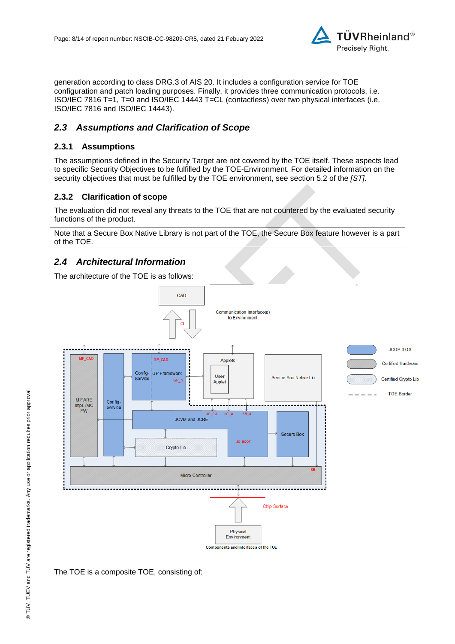

generation according to class DRG.3 of AIS 20. It includes a configuration service for TOE configuration and patch loading purposes. Finally, it provides three communication protocols, i.e. ISO/IEC 7816 T=1, T=0 and ISO/IEC 14443 T=CL (contactless) over two physical interfaces (i.e. ISO/IEC 7816 and ISO/IEC 14443).

## *2.3 Assumptions and Clarification of Scope*

#### **2.3.1 Assumptions**

The assumptions defined in the Security Target are not covered by the TOE itself. These aspects lead to specific Security Objectives to be fulfilled by the TOE-Environment. For detailed information on the security objectives that must be fulfilled by the TOE environment, see section 5.2 of the *[ST]*.

#### **2.3.2 Clarification of scope**

The evaluation did not reveal any threats to the TOE that are not countered by the evaluated security functions of the product.

Note that a Secure Box Native Library is not part of the TOE, the Secure Box feature however is a part of the TOE.

## *2.4 Architectural Information*

The architecture of the TOE is as follows:



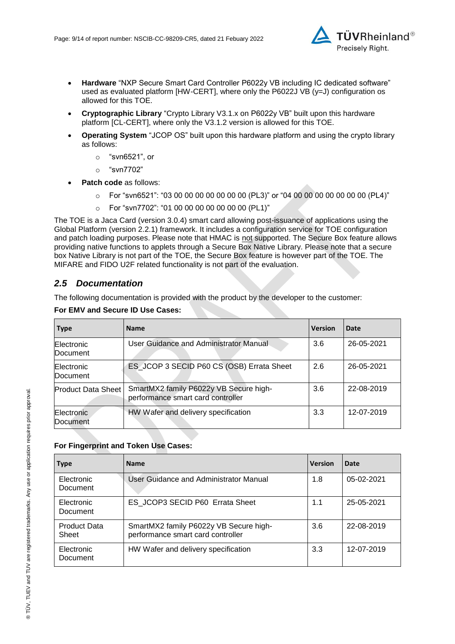

- **Hardware** "NXP Secure Smart Card Controller P6022y VB including IC dedicated software" used as evaluated platform [HW-CERT], where only the P6022J VB (y=J) configuration os allowed for this TOE.
- **Cryptographic Library** "Crypto Library V3.1.x on P6022y VB" built upon this hardware platform [CL-CERT], where only the V3.1.2 version is allowed for this TOE.
- **Operating System** "JCOP OS" built upon this hardware platform and using the crypto library as follows:
	- o "svn6521", or
	- o "svn7702"
- **Patch code** as follows:
	- $\circ$  For "svn6521": "03 00 00 00 00 00 00 00 (PL3)" or "04 00 00 00 00 00 00 00 (PL4)"
	- $\circ$  For "svn7702": "01 00 00 00 00 00 00 00 (PL1)"

The TOE is a Jaca Card (version 3.0.4) smart card allowing post-issuance of applications using the Global Platform (version 2.2.1) framework. It includes a configuration service for TOE configuration and patch loading purposes. Please note that HMAC is not supported. The Secure Box feature allows providing native functions to applets through a Secure Box Native Library. Please note that a secure box Native Library is not part of the TOE, the Secure Box feature is however part of the TOE. The MIFARE and FIDO U2F related functionality is not part of the evaluation.

## <span id="page-8-0"></span>*2.5 Documentation*

The following documentation is provided with the product by the developer to the customer:

| <b>Type</b>               | <b>Name</b>                                                                 | <b>Version</b> | Date       |
|---------------------------|-----------------------------------------------------------------------------|----------------|------------|
| Electronic<br>Document    | User Guidance and Administrator Manual                                      | 3.6            | 26-05-2021 |
| Electronic<br>Document    | ES_JCOP 3 SECID P60 CS (OSB) Errata Sheet                                   | 2.6            | 26-05-2021 |
| <b>Product Data Sheet</b> | SmartMX2 family P6022y VB Secure high-<br>performance smart card controller | 3.6            | 22-08-2019 |
| Electronic<br>Document    | HW Wafer and delivery specification                                         | 3.3            | 12-07-2019 |

#### **For EMV and Secure ID Use Cases:**

#### **For Fingerprint and Token Use Cases:**

| <b>Type</b>                  | <b>Name</b>                                                                 | <b>Version</b> | Date         |
|------------------------------|-----------------------------------------------------------------------------|----------------|--------------|
| Electronic<br>Document       | User Guidance and Administrator Manual                                      | 1.8            | $05-02-2021$ |
| Electronic<br>Document       | ES JCOP3 SECID P60 Errata Sheet                                             | 1.1            | 25-05-2021   |
| <b>Product Data</b><br>Sheet | SmartMX2 family P6022y VB Secure high-<br>performance smart card controller | 3.6            | 22-08-2019   |
| Electronic<br>Document       | HW Wafer and delivery specification                                         | 3.3            | 12-07-2019   |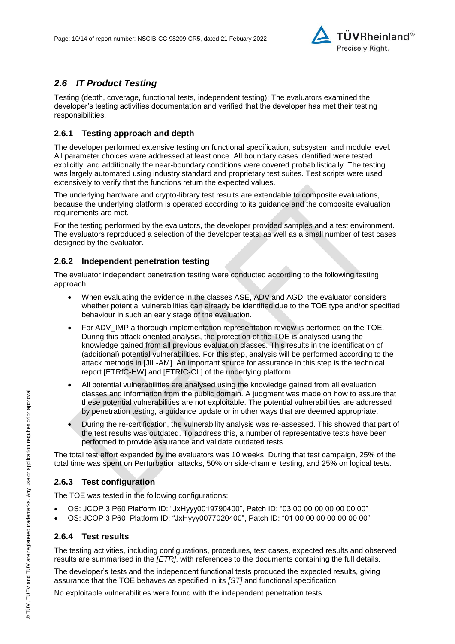

## *2.6 IT Product Testing*

Testing (depth, coverage, functional tests, independent testing): The evaluators examined the developer's testing activities documentation and verified that the developer has met their testing responsibilities.

#### **2.6.1 Testing approach and depth**

The developer performed extensive testing on functional specification, subsystem and module level. All parameter choices were addressed at least once. All boundary cases identified were tested explicitly, and additionally the near-boundary conditions were covered probabilistically. The testing was largely automated using industry standard and proprietary test suites. Test scripts were used extensively to verify that the functions return the expected values.

The underlying hardware and crypto-library test results are extendable to composite evaluations, because the underlying platform is operated according to its guidance and the composite evaluation requirements are met.

For the testing performed by the evaluators, the developer provided samples and a test environment. The evaluators reproduced a selection of the developer tests, as well as a small number of test cases designed by the evaluator.

#### **2.6.2 Independent penetration testing**

The evaluator independent penetration testing were conducted according to the following testing approach:

- When evaluating the evidence in the classes ASE, ADV and AGD, the evaluator considers whether potential vulnerabilities can already be identified due to the TOE type and/or specified behaviour in such an early stage of the evaluation.
- For ADV\_IMP a thorough implementation representation review is performed on the TOE. During this attack oriented analysis, the protection of the TOE is analysed using the knowledge gained from all previous evaluation classes. This results in the identification of (additional) potential vulnerabilities. For this step, analysis will be performed according to the attack methods in [JIL-AM]. An important source for assurance in this step is the technical report [ETRfC-HW] and [ETRfC-CL] of the underlying platform.
- All potential vulnerabilities are analysed using the knowledge gained from all evaluation classes and information from the public domain. A judgment was made on how to assure that these potential vulnerabilities are not exploitable. The potential vulnerabilities are addressed by penetration testing, a guidance update or in other ways that are deemed appropriate.
- During the re-certification, the vulnerability analysis was re-assessed. This showed that part of the test results was outdated. To address this, a number of representative tests have been performed to provide assurance and validate outdated tests

The total test effort expended by the evaluators was 10 weeks. During that test campaign, 25% of the total time was spent on Perturbation attacks, 50% on side-channel testing, and 25% on logical tests.

#### **2.6.3 Test configuration**

The TOE was tested in the following configurations:

- OS: JCOP 3 P60 Platform ID: "JxHyyy0019790400", Patch ID: "03 00 00 00 00 00 00 00"
- OS: JCOP 3 P60 Platform ID: "JxHyyy0077020400", Patch ID: "01 00 00 00 00 00 00 00"

#### **2.6.4 Test results**

The testing activities, including configurations, procedures, test cases, expected results and observed results are summarised in the *[ETR]*, with references to the documents containing the full details.

The developer's tests and the independent functional tests produced the expected results, giving assurance that the TOE behaves as specified in its *[ST]* and functional specification.

No exploitable vulnerabilities were found with the independent penetration tests.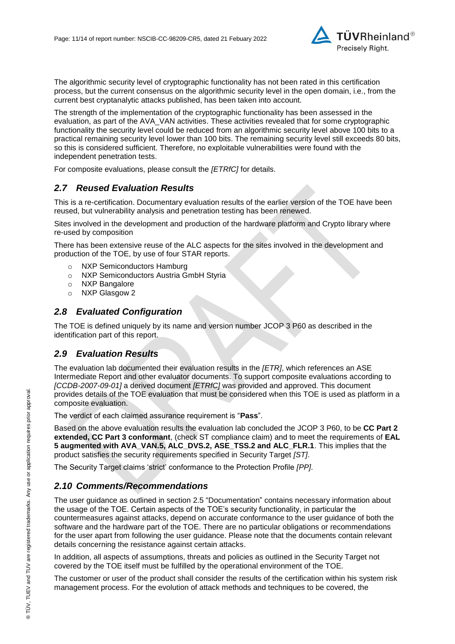

The algorithmic security level of cryptographic functionality has not been rated in this certification process, but the current consensus on the algorithmic security level in the open domain, i.e., from the current best cryptanalytic attacks published, has been taken into account.

The strength of the implementation of the cryptographic functionality has been assessed in the evaluation, as part of the AVA\_VAN activities. These activities revealed that for some cryptographic functionality the security level could be reduced from an algorithmic security level above 100 bits to a practical remaining security level lower than 100 bits. The remaining security level still exceeds 80 bits, so this is considered sufficient. Therefore, no exploitable vulnerabilities were found with the independent penetration tests.

For composite evaluations, please consult the *[ETRfC]* for details.

### *2.7 Reused Evaluation Results*

This is a re-certification. Documentary evaluation results of the earlier version of the TOE have been reused, but vulnerability analysis and penetration testing has been renewed.

Sites involved in the development and production of the hardware platform and Crypto library where re-used by composition

There has been extensive reuse of the ALC aspects for the sites involved in the development and production of the TOE, by use of four STAR reports.

- o NXP Semiconductors Hamburg
- o NXP Semiconductors Austria GmbH Styria
- o NXP Bangalore
- o NXP Glasgow 2

#### *2.8 Evaluated Configuration*

The TOE is defined uniquely by its name and version number [JCOP 3 P60](#page-0-3) as described in the identification part of this report.

#### *2.9 Evaluation Results*

The evaluation lab documented their evaluation results in the *[ETR]*, which references an ASE Intermediate Report and other evaluator documents. To support composite evaluations according to *[CCDB-2007-09-01]* a derived document *[ETRfC]* was provided and approved. This document provides details of the TOE evaluation that must be considered when this TOE is used as platform in a composite evaluation.

The verdict of each claimed assurance requirement is "**Pass**".

Based on the above evaluation results the evaluation lab concluded the [JCOP 3 P60,](#page-0-3) to be **CC Part 2 extended, CC Part 3 conformant**, (check ST compliance claim) and to meet the requirements of **EAL [5](#page-4-0) augmented with AVA\_VAN.5, ALC\_DVS.2, ASE\_TSS.2 and ALC\_FLR.1**. This implies that the product satisfies the security requirements specified in Security Target *[ST]*.

The Security Target claims 'strict' conformance to the Protection Profile *[PP]*.

#### *2.10 Comments/Recommendations*

The user guidance as outlined in section [2.5](#page-8-0) ["Documentation"](#page-8-0) contains necessary information about the usage of the TOE. Certain aspects of the TOE's security functionality, in particular the countermeasures against attacks, depend on accurate conformance to the user guidance of both the software and the hardware part of the TOE. There are no particular obligations or recommendations for the user apart from following the user guidance. Please note that the documents contain relevant details concerning the resistance against certain attacks.

In addition, all aspects of assumptions, threats and policies as outlined in the Security Target not covered by the TOE itself must be fulfilled by the operational environment of the TOE.

The customer or user of the product shall consider the results of the certification within his system risk management process. For the evolution of attack methods and techniques to be covered, the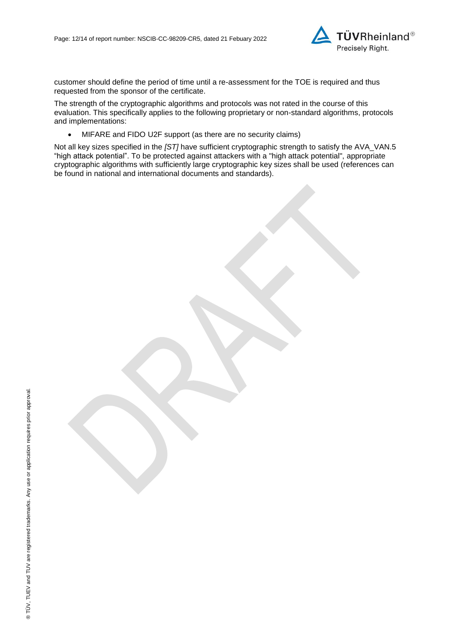

customer should define the period of time until a re-assessment for the TOE is required and thus requested from the sponsor of the certificate.

The strength of the cryptographic algorithms and protocols was not rated in the course of this evaluation. This specifically applies to the following proprietary or non-standard algorithms, protocols and implementations:

• MIFARE and FIDO U2F support (as there are no security claims)

Not all key sizes specified in the *[ST]* have sufficient cryptographic strength to satisfy the AVA\_VAN.5 "high attack potential". To be protected against attackers with a "high attack potential", appropriate cryptographic algorithms with sufficiently large cryptographic key sizes shall be used (references can be found in national and international documents and standards).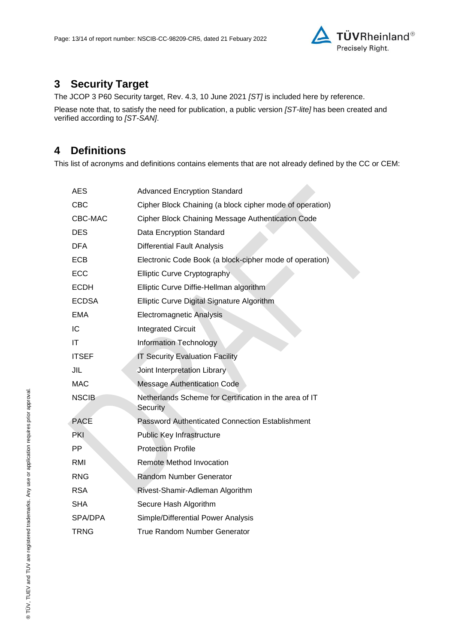

# **3 Security Target**

The [JCOP 3 P60 Security target, Rev. 4.3, 10 June 2021](#page-13-0) *[ST]* is included here by reference.

Please note that, to satisfy the need for publication, a public version *[ST-lite]* has been created and verified according to *[ST-SAN]*.

# **4 Definitions**

This list of acronyms and definitions contains elements that are not already defined by the CC or CEM:

 $\mathcal{L}$ 

| AES          | <b>Advanced Encryption Standard</b>                                |
|--------------|--------------------------------------------------------------------|
| <b>CBC</b>   | Cipher Block Chaining (a block cipher mode of operation)           |
| CBC-MAC      | Cipher Block Chaining Message Authentication Code                  |
| <b>DES</b>   | Data Encryption Standard                                           |
| <b>DFA</b>   | <b>Differential Fault Analysis</b>                                 |
| <b>ECB</b>   | Electronic Code Book (a block-cipher mode of operation)            |
| <b>ECC</b>   | <b>Elliptic Curve Cryptography</b>                                 |
| <b>ECDH</b>  | Elliptic Curve Diffie-Hellman algorithm                            |
| <b>ECDSA</b> | Elliptic Curve Digital Signature Algorithm                         |
| <b>EMA</b>   | <b>Electromagnetic Analysis</b>                                    |
| IC           | <b>Integrated Circuit</b>                                          |
| IT           | <b>Information Technology</b>                                      |
| <b>ITSEF</b> | <b>IT Security Evaluation Facility</b>                             |
| JIL          | Joint Interpretation Library                                       |
| <b>MAC</b>   | <b>Message Authentication Code</b>                                 |
| <b>NSCIB</b> | Netherlands Scheme for Certification in the area of IT<br>Security |
| <b>PACE</b>  | Password Authenticated Connection Establishment                    |
| <b>PKI</b>   | Public Key Infrastructure                                          |
| PP.          | <b>Protection Profile</b>                                          |
| <b>RMI</b>   | Remote Method Invocation                                           |
| <b>RNG</b>   | <b>Random Number Generator</b>                                     |
| <b>RSA</b>   | Rivest-Shamir-Adleman Algorithm                                    |
| <b>SHA</b>   | Secure Hash Algorithm                                              |
| SPA/DPA      | Simple/Differential Power Analysis                                 |
| <b>TRNG</b>  | <b>True Random Number Generator</b>                                |